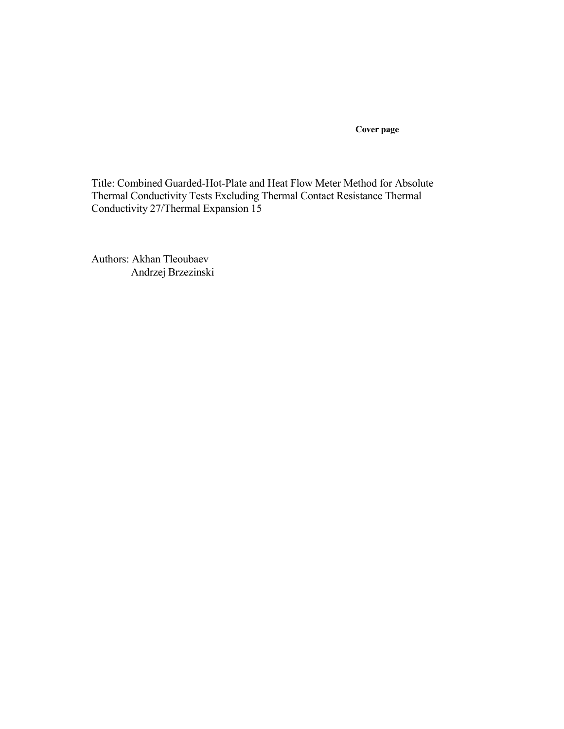**Cover page** 

Title: Combined Guarded-Hot-Plate and Heat Flow Meter Method for Absolute Thermal Conductivity Tests Excluding Thermal Contact Resistance Thermal Conductivity 27/Thermal Expansion 15

Authors: Akhan Tleoubaev Andrzej Brzezinski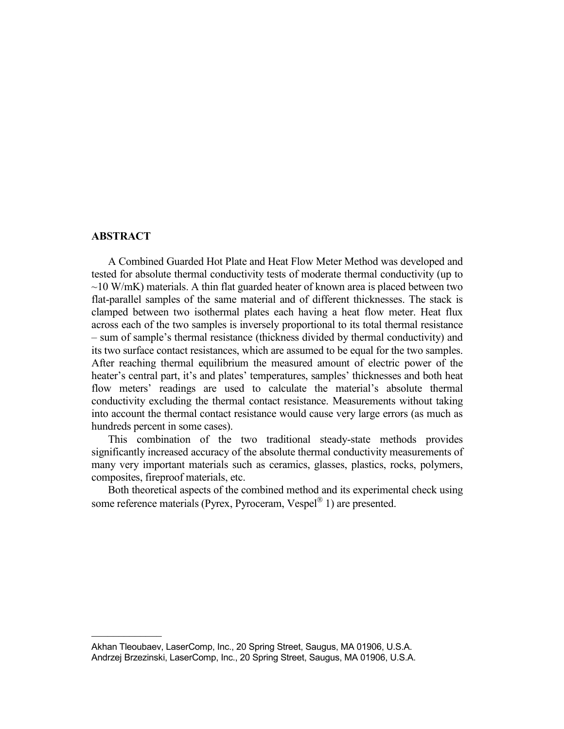# **ABSTRACT**

 $\overline{\phantom{a}}$  , where  $\overline{\phantom{a}}$ 

A Combined Guarded Hot Plate and Heat Flow Meter Method was developed and tested for absolute thermal conductivity tests of moderate thermal conductivity (up to  $\sim$ 10 W/mK) materials. A thin flat guarded heater of known area is placed between two flat-parallel samples of the same material and of different thicknesses. The stack is clamped between two isothermal plates each having a heat flow meter. Heat flux across each of the two samples is inversely proportional to its total thermal resistance – sum of sample's thermal resistance (thickness divided by thermal conductivity) and its two surface contact resistances, which are assumed to be equal for the two samples. After reaching thermal equilibrium the measured amount of electric power of the heater's central part, it's and plates' temperatures, samples' thicknesses and both heat flow meters' readings are used to calculate the material's absolute thermal conductivity excluding the thermal contact resistance. Measurements without taking into account the thermal contact resistance would cause very large errors (as much as hundreds percent in some cases).

This combination of the two traditional steady-state methods provides significantly increased accuracy of the absolute thermal conductivity measurements of many very important materials such as ceramics, glasses, plastics, rocks, polymers, composites, fireproof materials, etc.

Both theoretical aspects of the combined method and its experimental check using some reference materials (Pyrex, Pyroceram, Vespel® 1) are presented.

Akhan Tleoubaev, LaserComp, Inc., 20 Spring Street, Saugus, MA 01906, U.S.A. Andrzej Brzezinski, LaserComp, Inc., 20 Spring Street, Saugus, MA 01906, U.S.A.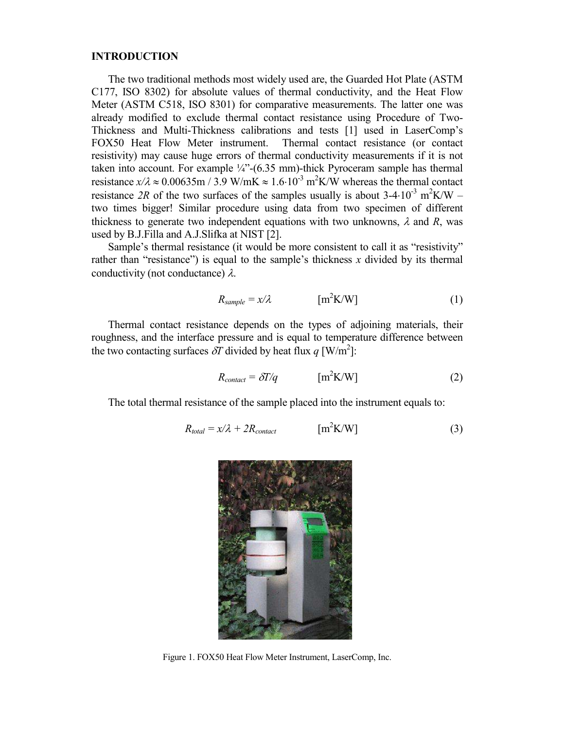## **INTRODUCTION**

The two traditional methods most widely used are, the Guarded Hot Plate (ASTM C177, ISO 8302) for absolute values of thermal conductivity, and the Heat Flow Meter (ASTM C518, ISO 8301) for comparative measurements. The latter one was already modified to exclude thermal contact resistance using Procedure of Two-Thickness and Multi-Thickness calibrations and tests [1] used in LaserComp's FOX50 Heat Flow Meter instrument. Thermal contact resistance (or contact resistivity) may cause huge errors of thermal conductivity measurements if it is not taken into account. For example ¼"-(6.35 mm)-thick Pyroceram sample has thermal resistance  $x/\lambda \approx 0.00635$ m / 3.9 W/mK  $\approx 1.6 \cdot 10^{-3}$  m<sup>2</sup>K/W whereas the thermal contact resistance 2R of the two surfaces of the samples usually is about  $3-4\cdot10^{-3}$  m<sup>2</sup>K/W – two times bigger! Similar procedure using data from two specimen of different thickness to generate two independent equations with two unknowns,  $\lambda$  and  $R$ , was used by B.J.Filla and A.J.Slifka at NIST [2].

Sample's thermal resistance (it would be more consistent to call it as "resistivity" rather than "resistance") is equal to the sample's thickness *x* divided by its thermal conductivity (not conductance)  $\lambda$ .

$$
R_{sample} = x/\lambda \qquad \qquad [m^2K/W] \qquad (1)
$$

Thermal contact resistance depends on the types of adjoining materials, their roughness, and the interface pressure and is equal to temperature difference between the two contacting surfaces  $\delta T$  divided by heat flux  $q$  [W/m<sup>2</sup>]:

$$
R_{contact} = \delta T/q
$$
 [m<sup>2</sup>K/W] (2)

The total thermal resistance of the sample placed into the instrument equals to:

$$
R_{total} = x/\lambda + 2R_{contact} \qquad [m^2 K/W] \qquad (3)
$$



Figure 1. FOX50 Heat Flow Meter Instrument, LaserComp, Inc.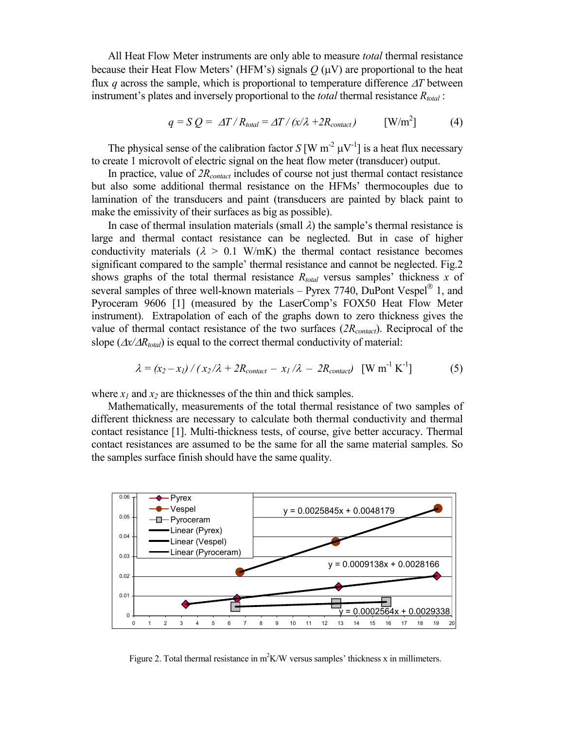All Heat Flow Meter instruments are only able to measure *total* thermal resistance because their Heat Flow Meters' (HFM's) signals  $Q(\mu V)$  are proportional to the heat flux *q* across the sample, which is proportional to temperature difference ∆*T* between instrument's plates and inversely proportional to the *total* thermal resistance *Rtotal* :

$$
q = S Q = \Delta T / R_{total} = \Delta T / (x/\lambda + 2R_{contact})
$$
 [W/m<sup>2</sup>] (4)

The physical sense of the calibration factor  $S[W \, m^{-2} \, \mu V^{-1}]$  is a heat flux necessary to create 1 microvolt of electric signal on the heat flow meter (transducer) output.

In practice, value of *2Rcontact* includes of course not just thermal contact resistance but also some additional thermal resistance on the HFMs' thermocouples due to lamination of the transducers and paint (transducers are painted by black paint to make the emissivity of their surfaces as big as possible).

In case of thermal insulation materials (small  $\lambda$ ) the sample's thermal resistance is large and thermal contact resistance can be neglected. But in case of higher conductivity materials  $(\lambda > 0.1 \text{ W/mK})$  the thermal contact resistance becomes significant compared to the sample' thermal resistance and cannot be neglected. Fig.2 shows graphs of the total thermal resistance *Rtotal* versus samples' thickness *x* of several samples of three well-known materials  $-$  Pyrex 7740, DuPont Vespel<sup>®</sup> 1, and Pyroceram 9606 [1] (measured by the LaserComp's FOX50 Heat Flow Meter instrument). Extrapolation of each of the graphs down to zero thickness gives the value of thermal contact resistance of the two surfaces (*2Rcontact*). Reciprocal of the slope ( $\Delta x / \Delta R_{total}$ ) is equal to the correct thermal conductivity of material:

$$
\lambda = (x_2 - x_1) / (x_2/\lambda + 2R_{contact} - x_1/\lambda - 2R_{contact}) \quad [\text{W m}^{-1} \text{ K}^{-1}] \tag{5}
$$

where  $x_1$  and  $x_2$  are thicknesses of the thin and thick samples.

Mathematically, measurements of the total thermal resistance of two samples of different thickness are necessary to calculate both thermal conductivity and thermal contact resistance [1]. Multi-thickness tests, of course, give better accuracy. Thermal contact resistances are assumed to be the same for all the same material samples. So the samples surface finish should have the same quality.



Figure 2. Total thermal resistance in  $m^2K/W$  versus samples' thickness x in millimeters.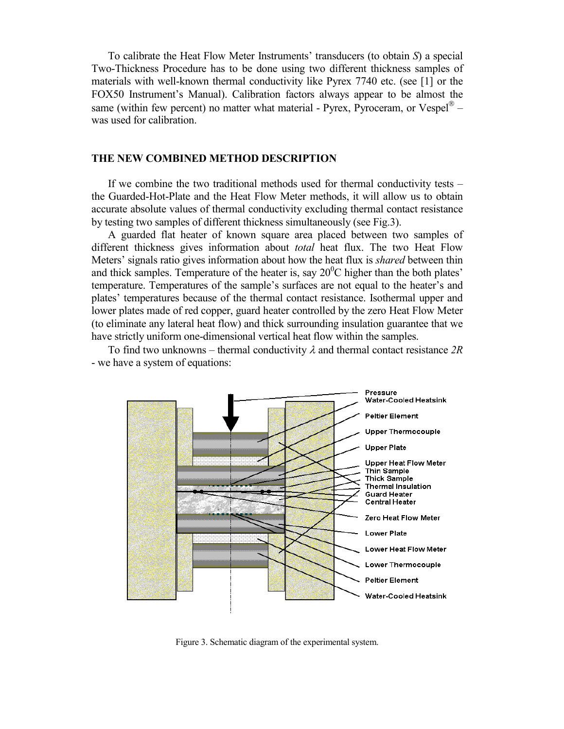To calibrate the Heat Flow Meter Instruments' transducers (to obtain *S*) a special Two-Thickness Procedure has to be done using two different thickness samples of materials with well-known thermal conductivity like Pyrex 7740 etc. (see [1] or the FOX50 Instrument's Manual). Calibration factors always appear to be almost the same (within few percent) no matter what material - Pyrex, Pyroceram, or Vespel $^{\circledast}$  was used for calibration.

## **THE NEW COMBINED METHOD DESCRIPTION**

If we combine the two traditional methods used for thermal conductivity tests – the Guarded-Hot-Plate and the Heat Flow Meter methods, it will allow us to obtain accurate absolute values of thermal conductivity excluding thermal contact resistance by testing two samples of different thickness simultaneously (see Fig.3).

A guarded flat heater of known square area placed between two samples of different thickness gives information about *total* heat flux. The two Heat Flow Meters' signals ratio gives information about how the heat flux is *shared* between thin and thick samples. Temperature of the heater is, say  $20^0$ C higher than the both plates' temperature. Temperatures of the sample's surfaces are not equal to the heater's and plates' temperatures because of the thermal contact resistance. Isothermal upper and lower plates made of red copper, guard heater controlled by the zero Heat Flow Meter (to eliminate any lateral heat flow) and thick surrounding insulation guarantee that we have strictly uniform one-dimensional vertical heat flow within the samples.

To find two unknowns – thermal conductivity λ and thermal contact resistance *2R* - we have a system of equations:



Figure 3. Schematic diagram of the experimental system.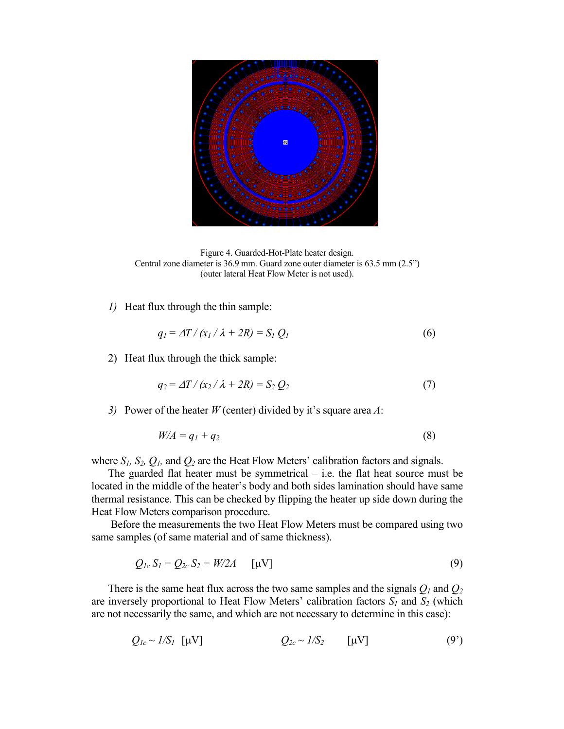

Figure 4. Guarded-Hot-Plate heater design. Central zone diameter is 36.9 mm. Guard zone outer diameter is 63.5 mm (2.5") (outer lateral Heat Flow Meter is not used).

*1)* Heat flux through the thin sample:

$$
q_I = \Delta T / (x_I / \lambda + 2R) = S_I Q_I \tag{6}
$$

2) Heat flux through the thick sample:

$$
q_2 = \Delta T / (x_2 / \lambda + 2R) = S_2 Q_2 \tag{7}
$$

*3)* Power of the heater *W* (center) divided by it's square area *A*:

$$
W/A = q_1 + q_2 \tag{8}
$$

where  $S_I$ ,  $S_2$ ,  $Q_I$ , and  $Q_2$  are the Heat Flow Meters' calibration factors and signals.

The guarded flat heater must be symmetrical  $-$  i.e. the flat heat source must be located in the middle of the heater's body and both sides lamination should have same thermal resistance. This can be checked by flipping the heater up side down during the Heat Flow Meters comparison procedure.

 Before the measurements the two Heat Flow Meters must be compared using two same samples (of same material and of same thickness).

$$
Q_{1c} S_1 = Q_{2c} S_2 = W/2A \qquad [\mu V] \tag{9}
$$

There is the same heat flux across the two same samples and the signals *Q1* and *Q<sup>2</sup>* are inversely proportional to Heat Flow Meters' calibration factors  $S_I$  and  $S_2$  (which are not necessarily the same, and which are not necessary to determine in this case):

$$
Q_{1c} \sim 1/S_1 \quad [\mu V] \qquad Q_{2c} \sim 1/S_2 \qquad [\mu V] \qquad (9')
$$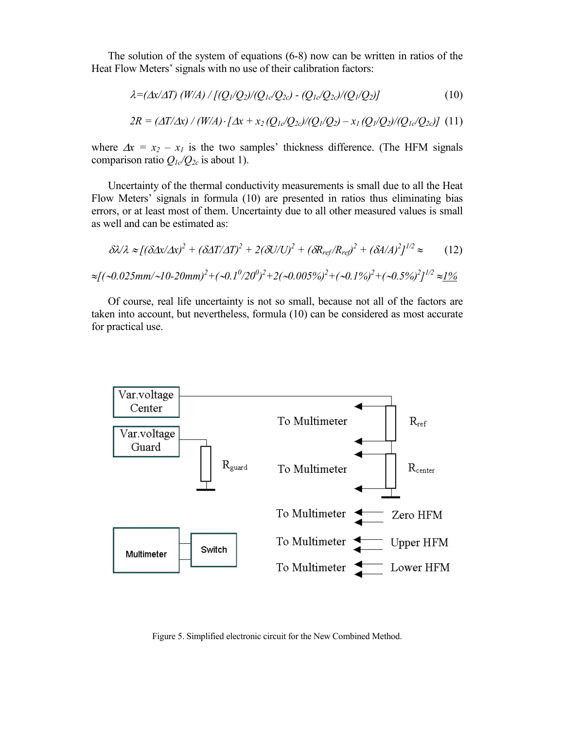The solution of the system of equations (6-8) now can be written in ratios of the Heat Flow Meters' signals with no use of their calibration factors:

$$
\lambda = (\Delta x/\Delta T) (W/A) / [(Q_1/Q_2)/(Q_{1c}/Q_{2c}) - (Q_{1c}/Q_{2c})/(Q_1/Q_2)] \tag{10}
$$
  
2R =  $(\Delta T/\Delta x) / (W/A) \cdot [\Delta x + x_2 (Q_{1c}/Q_{2c})/(Q_1/Q_2) - x_1 (Q_1/Q_2)/(Q_{1c}/Q_{2c})] \tag{11}$ 

where  $\Delta x = x_2 - x_1$  is the two samples' thickness difference. (The HFM signals comparison ratio  $Q_{1c}/Q_{2c}$  is about 1).

Uncertainty of the thermal conductivity measurements is small due to all the Heat Flow Meters' signals in formula (10) are presented in ratios thus eliminating bias errors, or at least most of them. Uncertainty due to all other measured values is small as well and can be estimated as:

$$
\delta\lambda/\lambda \approx [(\delta\Delta x/\Delta x)^2 + (\delta\Delta T/\Delta T)^2 + 2(\delta U/U)^2 + (\delta R_{ref}/R_{ref})^2 + (\delta A/A)^2]^{1/2} \approx (12)
$$
  

$$
\approx [(\sim 0.025 \text{mm}/\sim 10-20 \text{mm})^2 + (\sim 0.1^0/20^0)^2 + 2(\sim 0.005\%)^2 + (\sim 0.1\%)^2 + (\sim 0.5\%)^2]^{1/2} \approx 1\%
$$

Of course, real life uncertainty is not so small, because not all of the factors are taken into account, but nevertheless, formula (10) can be considered as most accurate for practical use.



Figure 5. Simplified electronic circuit for the New Combined Method.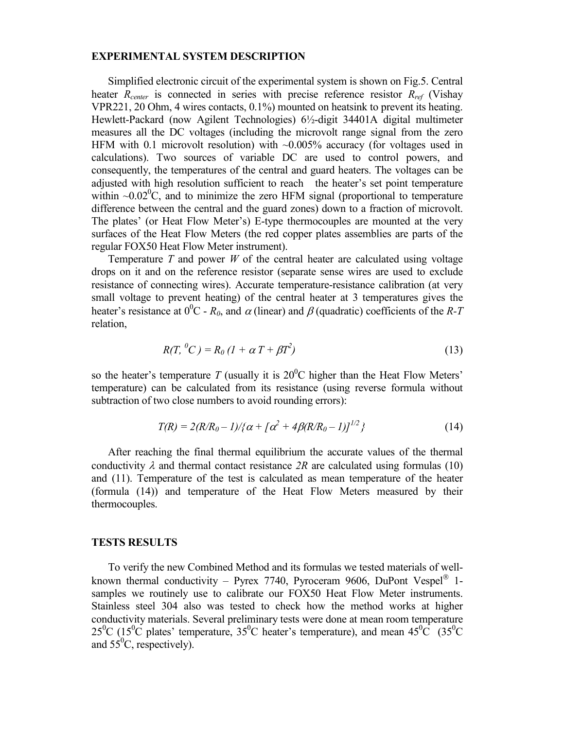## **EXPERIMENTAL SYSTEM DESCRIPTION**

Simplified electronic circuit of the experimental system is shown on Fig.5. Central heater *Rcenter* is connected in series with precise reference resistor *Rref* (Vishay VPR221, 20 Ohm, 4 wires contacts, 0.1%) mounted on heatsink to prevent its heating. Hewlett-Packard (now Agilent Technologies) 6½-digit 34401A digital multimeter measures all the DC voltages (including the microvolt range signal from the zero HFM with 0.1 microvolt resolution) with ~0.005% accuracy (for voltages used in calculations). Two sources of variable DC are used to control powers, and consequently, the temperatures of the central and guard heaters. The voltages can be adjusted with high resolution sufficient to reach the heater's set point temperature within  $\sim 0.02^{\circ}$ C, and to minimize the zero HFM signal (proportional to temperature difference between the central and the guard zones) down to a fraction of microvolt. The plates' (or Heat Flow Meter's) E-type thermocouples are mounted at the very surfaces of the Heat Flow Meters (the red copper plates assemblies are parts of the regular FOX50 Heat Flow Meter instrument).

Temperature *T* and power *W* of the central heater are calculated using voltage drops on it and on the reference resistor (separate sense wires are used to exclude resistance of connecting wires). Accurate temperature-resistance calibration (at very small voltage to prevent heating) of the central heater at 3 temperatures gives the heater's resistance at  $0^0C - R_0$ , and  $\alpha$  (linear) and  $\beta$  (quadratic) coefficients of the *R-T* relation,

$$
R(T, {}^{0}C) = R_0 (1 + \alpha T + \beta T^2)
$$
\n(13)

so the heater's temperature *T* (usually it is  $20^{\circ}$ C higher than the Heat Flow Meters' temperature) can be calculated from its resistance (using reverse formula without subtraction of two close numbers to avoid rounding errors):

$$
T(R) = 2(R/R_0 - 1)/\{\alpha + \lceil \alpha^2 + 4\beta(R/R_0 - 1)\rceil^{1/2}\}\tag{14}
$$

After reaching the final thermal equilibrium the accurate values of the thermal conductivity  $\lambda$  and thermal contact resistance  $2R$  are calculated using formulas (10) and (11). Temperature of the test is calculated as mean temperature of the heater (formula (14)) and temperature of the Heat Flow Meters measured by their thermocouples.

### **TESTS RESULTS**

To verify the new Combined Method and its formulas we tested materials of wellknown thermal conductivity – Pyrex 7740, Pyroceram 9606, DuPont Vespel<sup>®</sup> 1samples we routinely use to calibrate our FOX50 Heat Flow Meter instruments. Stainless steel 304 also was tested to check how the method works at higher conductivity materials. Several preliminary tests were done at mean room temperature 25<sup>0</sup>C (15<sup>0</sup>C plates' temperature, 35<sup>0</sup>C heater's temperature), and mean  $45^{\circ}$ C (35<sup>0</sup>C and  $55^0C$ , respectively).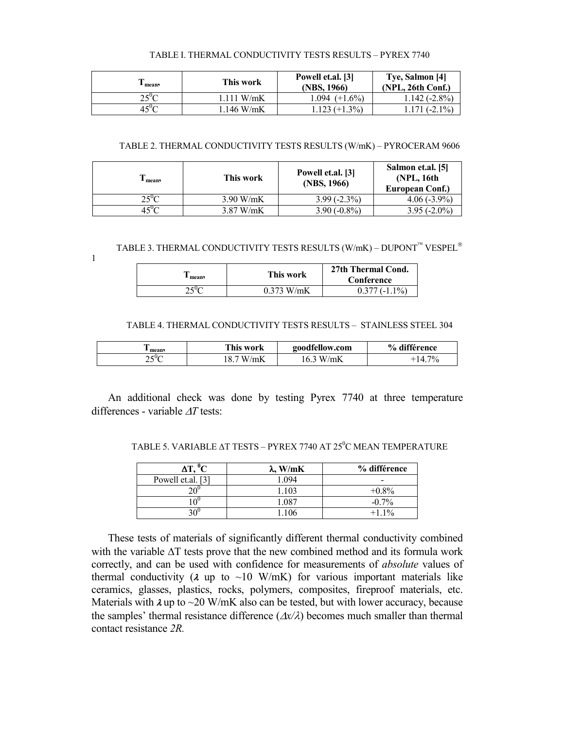#### TABLE I. THERMAL CONDUCTIVITY TESTS RESULTS – PYREX 7740

| <sup>t</sup> mean, | This work   | Powell et.al. [3]<br>(NBS, 1966) | Tye, Salmon [4]<br>$(NPL, 26th$ Conf.) |
|--------------------|-------------|----------------------------------|----------------------------------------|
| ን<⊍∩               | 1.111 W/mK  | $1.094$ (+1.6%)                  | $1.142(-2.8\%)$                        |
| 45°C               | $.146$ W/mK | $1.123 (+1.3\%)$                 | $1.171(-2.1\%)$                        |

#### TABLE 2. THERMAL CONDUCTIVITY TESTS RESULTS (W/mK) – PYROCERAM 9606

| mean | This work   | Powell et.al. [3]<br>(NBS, 1966) | Salmon et.al. [5]<br>(NPL, 16th)<br>European Conf.) |
|------|-------------|----------------------------------|-----------------------------------------------------|
|      | $3.90$ W/mK | $3.99(-2.3\%)$                   | $4.06(-3.9\%)$                                      |
|      | $3.87$ W/mK | $3.90(-0.8\%)$                   | $3.95(-2.0\%)$                                      |

TABLE 3. THERMAL CONDUCTIVITY TESTS RESULTS (W/mK) – DUPONT  $^{\text{m}}$  VESPEL  $^{\circ}$ 

1

| - mean,                  | This work    | 27th Thermal Cond.<br>Conference |
|--------------------------|--------------|----------------------------------|
| $\cdot$ + $E$ V $\prime$ | $0.373$ W/mK | $1\%$                            |

#### TABLE 4. THERMAL CONDUCTIVITY TESTS RESULTS – STAINLESS STEEL 304

| m<br>mean | This work              | goodfellow.com      | % différence |
|-----------|------------------------|---------------------|--------------|
| 150<      | $\mathcal{L}$ mK<br>W. | /mK<br>$\mathbf{M}$ | 70/          |

An additional check was done by testing Pyrex 7740 at three temperature differences - variable ∆*T* tests:

| TABLE 5. VARIABLE AT TESTS – PYREX 7740 AT 25°C MEAN TEMPERATURE |  |  |
|------------------------------------------------------------------|--|--|
|                                                                  |  |  |

| $\Delta T, {}^{0}C$ | $\lambda$ , W/mK | % différence |
|---------------------|------------------|--------------|
| Powell et.al. [3]   | 1.094            | -            |
|                     | 1.103            | $+0.8\%$     |
| ∩∪                  | 1.087            | $-0.7\%$     |
|                     | .106             | $+11\%$      |

These tests of materials of significantly different thermal conductivity combined with the variable ∆T tests prove that the new combined method and its formula work correctly, and can be used with confidence for measurements of *absolute* values of thermal conductivity ( $\lambda$  up to ~10 W/mK) for various important materials like ceramics, glasses, plastics, rocks, polymers, composites, fireproof materials, etc. Materials with  $\lambda$  up to  $\sim$ 20 W/mK also can be tested, but with lower accuracy, because the samples' thermal resistance difference (∆*x/*λ) becomes much smaller than thermal contact resistance *2R.*